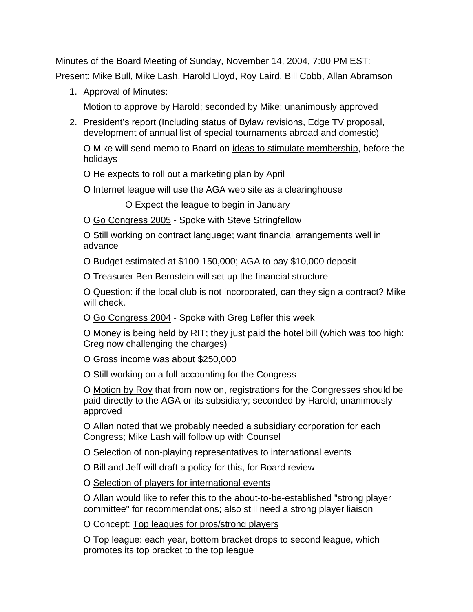Minutes of the Board Meeting of Sunday, November 14, 2004, 7:00 PM EST: Present: Mike Bull, Mike Lash, Harold Lloyd, Roy Laird, Bill Cobb, Allan Abramson

1. Approval of Minutes:

Motion to approve by Harold; seconded by Mike; unanimously approved

2. President's report (Including status of Bylaw revisions, Edge TV proposal, development of annual list of special tournaments abroad and domestic)

O Mike will send memo to Board on ideas to stimulate membership, before the holidays

O He expects to roll out a marketing plan by April

O Internet league will use the AGA web site as a clearinghouse

O Expect the league to begin in January

O Go Congress 2005 - Spoke with Steve Stringfellow

O Still working on contract language; want financial arrangements well in advance

O Budget estimated at \$100-150,000; AGA to pay \$10,000 deposit

O Treasurer Ben Bernstein will set up the financial structure

O Question: if the local club is not incorporated, can they sign a contract? Mike will check.

O Go Congress 2004 - Spoke with Greg Lefler this week

O Money is being held by RIT; they just paid the hotel bill (which was too high: Greg now challenging the charges)

O Gross income was about \$250,000

O Still working on a full accounting for the Congress

O Motion by Roy that from now on, registrations for the Congresses should be paid directly to the AGA or its subsidiary; seconded by Harold; unanimously approved

O Allan noted that we probably needed a subsidiary corporation for each Congress; Mike Lash will follow up with Counsel

O Selection of non-playing representatives to international events

O Bill and Jeff will draft a policy for this, for Board review

O Selection of players for international events

O Allan would like to refer this to the about-to-be-established "strong player committee" for recommendations; also still need a strong player liaison

O Concept: Top leagues for pros/strong players

O Top league: each year, bottom bracket drops to second league, which promotes its top bracket to the top league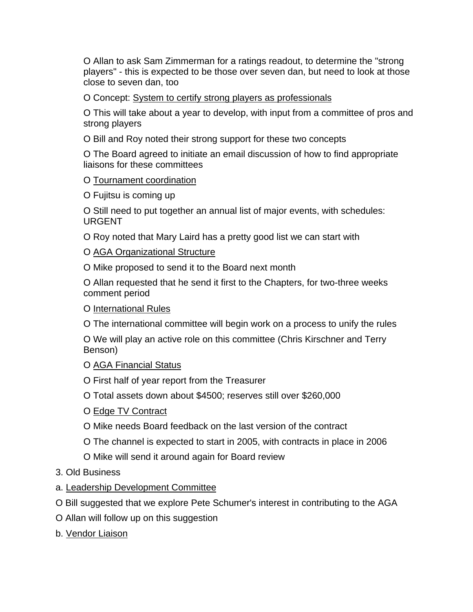O Allan to ask Sam Zimmerman for a ratings readout, to determine the "strong players" - this is expected to be those over seven dan, but need to look at those close to seven dan, too

O Concept: System to certify strong players as professionals

O This will take about a year to develop, with input from a committee of pros and strong players

O Bill and Roy noted their strong support for these two concepts

O The Board agreed to initiate an email discussion of how to find appropriate liaisons for these committees

## O Tournament coordination

O Fujitsu is coming up

O Still need to put together an annual list of major events, with schedules: URGENT

O Roy noted that Mary Laird has a pretty good list we can start with

O AGA Organizational Structure

O Mike proposed to send it to the Board next month

O Allan requested that he send it first to the Chapters, for two-three weeks comment period

O International Rules

O The international committee will begin work on a process to unify the rules

O We will play an active role on this committee (Chris Kirschner and Terry Benson)

## O AGA Financial Status

O First half of year report from the Treasurer

O Total assets down about \$4500; reserves still over \$260,000

## O Edge TV Contract

O Mike needs Board feedback on the last version of the contract

O The channel is expected to start in 2005, with contracts in place in 2006

O Mike will send it around again for Board review

## 3. Old Business

- a. Leadership Development Committee
- O Bill suggested that we explore Pete Schumer's interest in contributing to the AGA
- O Allan will follow up on this suggestion
- b. Vendor Liaison